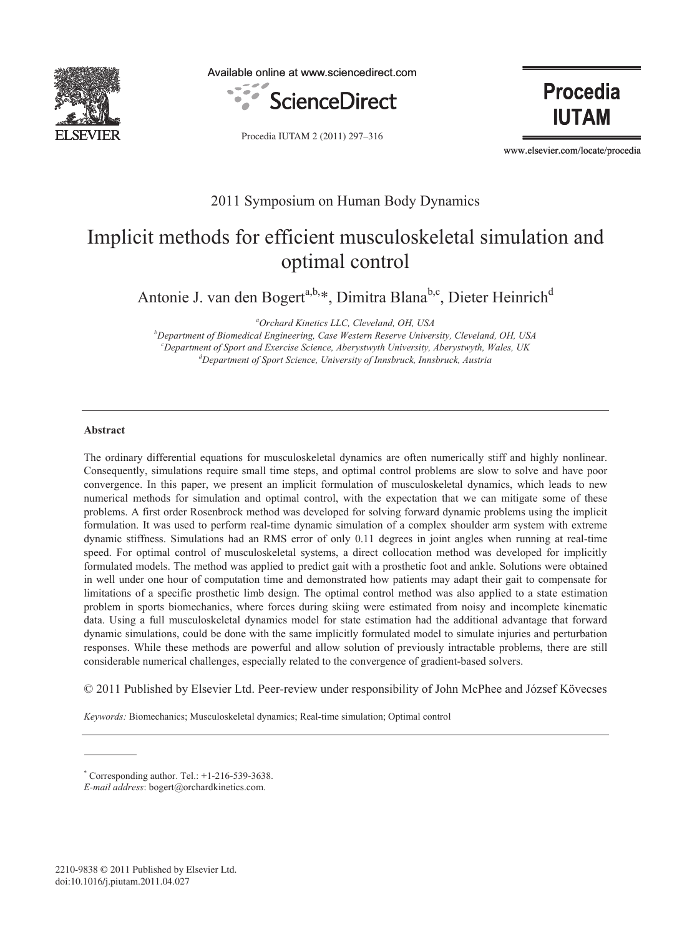

Available online at www.sciencedirect.com



Procedia IUTAM 2 (2011) 297–316

**Procedia IUTAM** 

www.elsevier.com/locate/procedia

# 2011 Symposium on Human Body Dynamics

# Implicit methods for efficient musculoskeletal simulation and optimal control

Antonie J. van den Bogert<sup>a,b,\*</sup>, Dimitra Blana<sup>b,c</sup>, Dieter Heinrich<sup>d</sup>

<sup>a</sup>Orchard Kinetics LLC, Cleveland, OH, USA

*Orchard Kinetics LLC, Cleveland, OH, USA b Department of Biomedical Engineering, Case Western Reserve University, Cleveland, OH, USA c*Department of Sport and Exercise Science, Aberystwyth University, Aberystwyth, Wales, UK do a domestive of Sport Science, University of Innshruck, Innshruck, Austria *Department of Sport Science, University of Innsbruck, Innsbruck, Austria* 

# **Abstract**

The ordinary differential equations for musculoskeletal dynamics are often numerically stiff and highly nonlinear. Consequently, simulations require small time steps, and optimal control problems are slow to solve and have poor convergence. In this paper, we present an implicit formulation of musculoskeletal dynamics, which leads to new numerical methods for simulation and optimal control, with the expectation that we can mitigate some of these problems. A first order Rosenbrock method was developed for solving forward dynamic problems using the implicit formulation. It was used to perform real-time dynamic simulation of a complex shoulder arm system with extreme dynamic stiffness. Simulations had an RMS error of only 0.11 degrees in joint angles when running at real-time speed. For optimal control of musculoskeletal systems, a direct collocation method was developed for implicitly formulated models. The method was applied to predict gait with a prosthetic foot and ankle. Solutions were obtained in well under one hour of computation time and demonstrated how patients may adapt their gait to compensate for limitations of a specific prosthetic limb design. The optimal control method was also applied to a state estimation problem in sports biomechanics, where forces during skiing were estimated from noisy and incomplete kinematic data. Using a full musculoskeletal dynamics model for state estimation had the additional advantage that forward dynamic simulations, could be done with the same implicitly formulated model to simulate injuries and perturbation responses. While these methods are powerful and allow solution of previously intractable problems, there are still considerable numerical challenges, especially related to the convergence of gradient-based solvers.

© 2011 Published by Elsevier Ltd. Peer-review under responsibility of John McPhee and József Kövecses

*Keywords:* Biomechanics; Musculoskeletal dynamics; Real-time simulation; Optimal control

<sup>\*</sup> Corresponding author. Tel.: +1-216-539-3638.

*E-mail address*: bogert@orchardkinetics.com.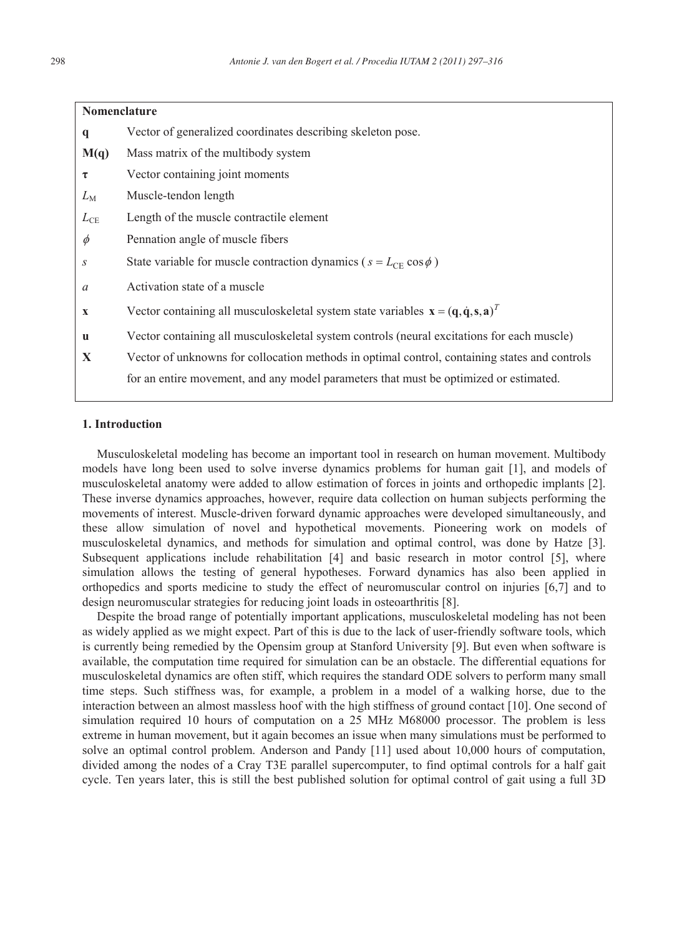| <b>Nomenclature</b>                                                                                                                  |  |  |
|--------------------------------------------------------------------------------------------------------------------------------------|--|--|
| Vector of generalized coordinates describing skeleton pose.                                                                          |  |  |
| Mass matrix of the multibody system.                                                                                                 |  |  |
| Vector containing joint moments                                                                                                      |  |  |
| Muscle-tendon length                                                                                                                 |  |  |
| Length of the muscle contractile element                                                                                             |  |  |
| Pennation angle of muscle fibers                                                                                                     |  |  |
| State variable for muscle contraction dynamics ( $s = L_{CE} \cos \phi$ )                                                            |  |  |
| Activation state of a muscle                                                                                                         |  |  |
| Vector containing all musculoskeletal system state variables $\mathbf{x} = (\mathbf{q}, \dot{\mathbf{q}}, \mathbf{s}, \mathbf{a})^T$ |  |  |
| Vector containing all musculoskeletal system controls (neural excitations for each muscle)                                           |  |  |
| Vector of unknowns for collocation methods in optimal control, containing states and controls                                        |  |  |
| for an entire movement, and any model parameters that must be optimized or estimated.                                                |  |  |
|                                                                                                                                      |  |  |

#### **1. Introduction**

Musculoskeletal modeling has become an important tool in research on human movement. Multibody models have long been used to solve inverse dynamics problems for human gait [1], and models of musculoskeletal anatomy were added to allow estimation of forces in joints and orthopedic implants [2]. These inverse dynamics approaches, however, require data collection on human subjects performing the movements of interest. Muscle-driven forward dynamic approaches were developed simultaneously, and these allow simulation of novel and hypothetical movements. Pioneering work on models of musculoskeletal dynamics, and methods for simulation and optimal control, was done by Hatze [3]. Subsequent applications include rehabilitation [4] and basic research in motor control [5], where simulation allows the testing of general hypotheses. Forward dynamics has also been applied in orthopedics and sports medicine to study the effect of neuromuscular control on injuries [6,7] and to design neuromuscular strategies for reducing joint loads in osteoarthritis [8].

Despite the broad range of potentially important applications, musculoskeletal modeling has not been as widely applied as we might expect. Part of this is due to the lack of user-friendly software tools, which is currently being remedied by the Opensim group at Stanford University [9]. But even when software is available, the computation time required for simulation can be an obstacle. The differential equations for musculoskeletal dynamics are often stiff, which requires the standard ODE solvers to perform many small time steps. Such stiffness was, for example, a problem in a model of a walking horse, due to the interaction between an almost massless hoof with the high stiffness of ground contact [10]. One second of simulation required 10 hours of computation on a 25 MHz M68000 processor. The problem is less extreme in human movement, but it again becomes an issue when many simulations must be performed to solve an optimal control problem. Anderson and Pandy [11] used about 10,000 hours of computation, divided among the nodes of a Cray T3E parallel supercomputer, to find optimal controls for a half gait cycle. Ten years later, this is still the best published solution for optimal control of gait using a full 3D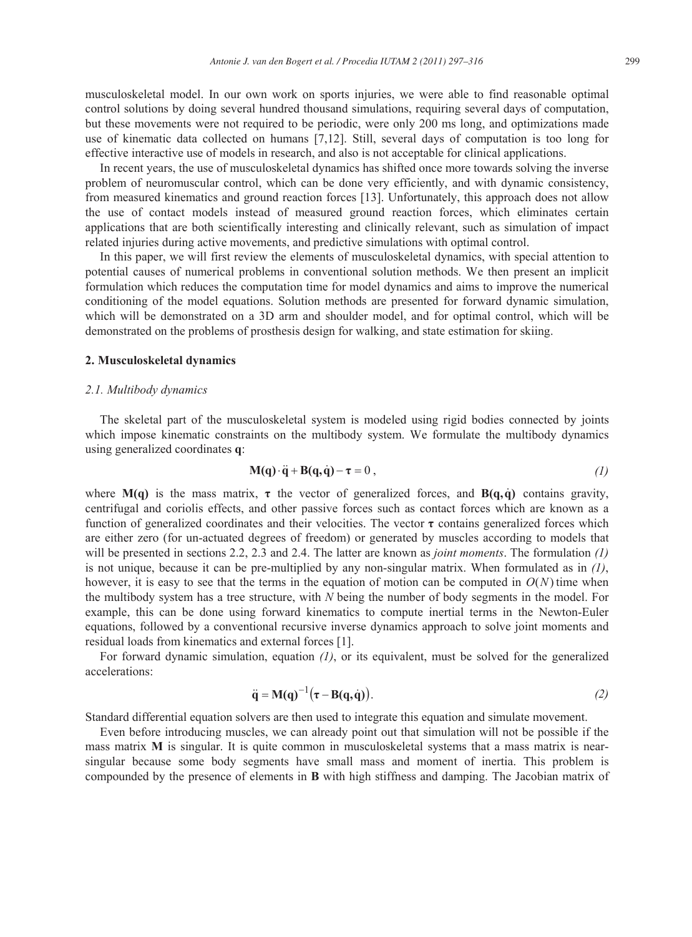musculoskeletal model. In our own work on sports injuries, we were able to find reasonable optimal control solutions by doing several hundred thousand simulations, requiring several days of computation, but these movements were not required to be periodic, were only 200 ms long, and optimizations made use of kinematic data collected on humans [7,12]. Still, several days of computation is too long for effective interactive use of models in research, and also is not acceptable for clinical applications.

In recent years, the use of musculoskeletal dynamics has shifted once more towards solving the inverse problem of neuromuscular control, which can be done very efficiently, and with dynamic consistency, from measured kinematics and ground reaction forces [13]. Unfortunately, this approach does not allow the use of contact models instead of measured ground reaction forces, which eliminates certain applications that are both scientifically interesting and clinically relevant, such as simulation of impact related injuries during active movements, and predictive simulations with optimal control.

In this paper, we will first review the elements of musculoskeletal dynamics, with special attention to potential causes of numerical problems in conventional solution methods. We then present an implicit formulation which reduces the computation time for model dynamics and aims to improve the numerical conditioning of the model equations. Solution methods are presented for forward dynamic simulation, which will be demonstrated on a 3D arm and shoulder model, and for optimal control, which will be demonstrated on the problems of prosthesis design for walking, and state estimation for skiing.

# **2. Musculoskeletal dynamics**

#### *2.1. Multibody dynamics*

The skeletal part of the musculoskeletal system is modeled using rigid bodies connected by joints which impose kinematic constraints on the multibody system. We formulate the multibody dynamics using generalized coordinates **q**:

$$
M(q) \cdot \ddot{q} + B(q, \dot{q}) - \tau = 0, \qquad (1)
$$

where  $M(q)$  is the mass matrix,  $\tau$  the vector of generalized forces, and  $B(q, \dot{q})$  contains gravity, centrifugal and coriolis effects, and other passive forces such as contact forces which are known as a function of generalized coordinates and their velocities. The vector  $\tau$  contains generalized forces which are either zero (for un-actuated degrees of freedom) or generated by muscles according to models that will be presented in sections 2.2, 2.3 and 2.4. The latter are known as *joint moments*. The formulation *(1)* is not unique, because it can be pre-multiplied by any non-singular matrix. When formulated as in *(1)*, however, it is easy to see that the terms in the equation of motion can be computed in  $O(N)$  time when the multibody system has a tree structure, with *N* being the number of body segments in the model. For example, this can be done using forward kinematics to compute inertial terms in the Newton-Euler equations, followed by a conventional recursive inverse dynamics approach to solve joint moments and residual loads from kinematics and external forces [1].

For forward dynamic simulation, equation *(1)*, or its equivalent, must be solved for the generalized accelerations:

$$
\ddot{\mathbf{q}} = \mathbf{M}(\mathbf{q})^{-1}(\boldsymbol{\tau} - \mathbf{B}(\mathbf{q}, \dot{\mathbf{q}})). \tag{2}
$$

Standard differential equation solvers are then used to integrate this equation and simulate movement.

Even before introducing muscles, we can already point out that simulation will not be possible if the mass matrix **M** is singular. It is quite common in musculoskeletal systems that a mass matrix is nearsingular because some body segments have small mass and moment of inertia. This problem is compounded by the presence of elements in **B** with high stiffness and damping. The Jacobian matrix of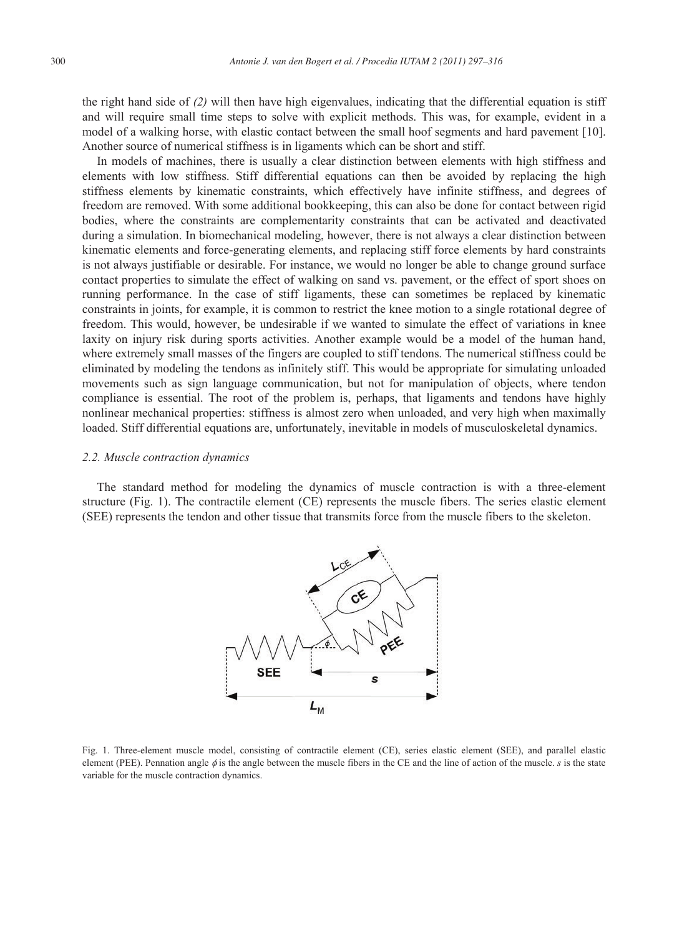the right hand side of *(2)* will then have high eigenvalues, indicating that the differential equation is stiff and will require small time steps to solve with explicit methods. This was, for example, evident in a model of a walking horse, with elastic contact between the small hoof segments and hard pavement [10]. Another source of numerical stiffness is in ligaments which can be short and stiff.

In models of machines, there is usually a clear distinction between elements with high stiffness and elements with low stiffness. Stiff differential equations can then be avoided by replacing the high stiffness elements by kinematic constraints, which effectively have infinite stiffness, and degrees of freedom are removed. With some additional bookkeeping, this can also be done for contact between rigid bodies, where the constraints are complementarity constraints that can be activated and deactivated during a simulation. In biomechanical modeling, however, there is not always a clear distinction between kinematic elements and force-generating elements, and replacing stiff force elements by hard constraints is not always justifiable or desirable. For instance, we would no longer be able to change ground surface contact properties to simulate the effect of walking on sand vs. pavement, or the effect of sport shoes on running performance. In the case of stiff ligaments, these can sometimes be replaced by kinematic constraints in joints, for example, it is common to restrict the knee motion to a single rotational degree of freedom. This would, however, be undesirable if we wanted to simulate the effect of variations in knee laxity on injury risk during sports activities. Another example would be a model of the human hand, where extremely small masses of the fingers are coupled to stiff tendons. The numerical stiffness could be eliminated by modeling the tendons as infinitely stiff. This would be appropriate for simulating unloaded movements such as sign language communication, but not for manipulation of objects, where tendon compliance is essential. The root of the problem is, perhaps, that ligaments and tendons have highly nonlinear mechanical properties: stiffness is almost zero when unloaded, and very high when maximally loaded. Stiff differential equations are, unfortunately, inevitable in models of musculoskeletal dynamics.

#### *2.2. Muscle contraction dynamics*

The standard method for modeling the dynamics of muscle contraction is with a three-element structure (Fig. 1). The contractile element (CE) represents the muscle fibers. The series elastic element (SEE) represents the tendon and other tissue that transmits force from the muscle fibers to the skeleton.



Fig. 1. Three-element muscle model, consisting of contractile element (CE), series elastic element (SEE), and parallel elastic element (PEE). Pennation angle  $\phi$  is the angle between the muscle fibers in the CE and the line of action of the muscle. *s* is the state variable for the muscle contraction dynamics.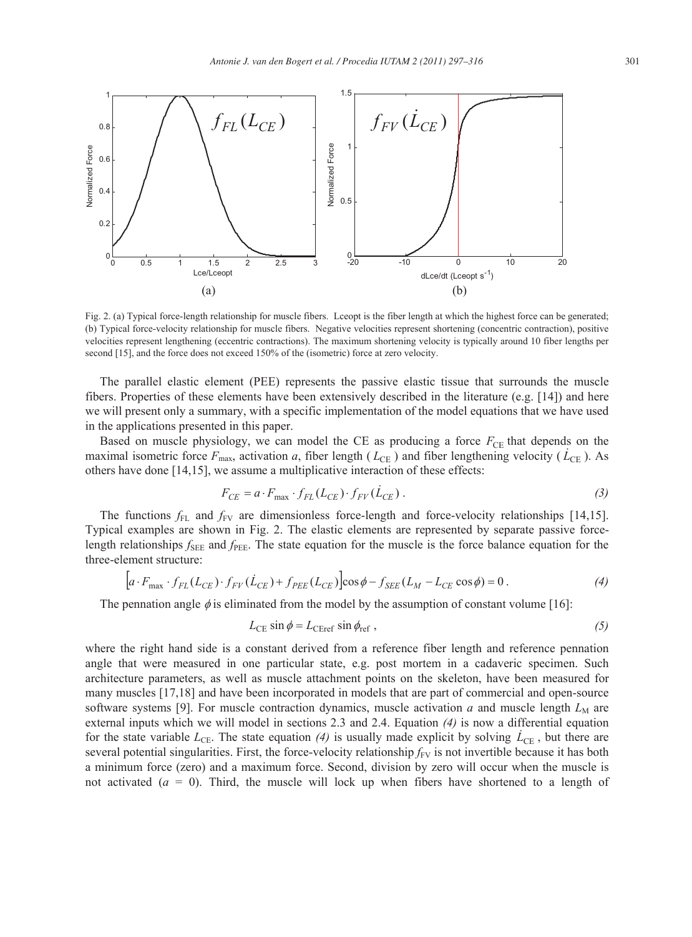

Fig. 2. (a) Typical force-length relationship for muscle fibers. Lceopt is the fiber length at which the highest force can be generated; (b) Typical force-velocity relationship for muscle fibers. Negative velocities represent shortening (concentric contraction), positive velocities represent lengthening (eccentric contractions). The maximum shortening velocity is typically around 10 fiber lengths per second [15], and the force does not exceed 150% of the (isometric) force at zero velocity.

The parallel elastic element (PEE) represents the passive elastic tissue that surrounds the muscle fibers. Properties of these elements have been extensively described in the literature (e.g. [14]) and here we will present only a summary, with a specific implementation of the model equations that we have used in the applications presented in this paper.

Based on muscle physiology, we can model the CE as producing a force  $F_{\text{CE}}$  that depends on the maximal isometric force  $F_{\text{max}}$ , activation *a*, fiber length ( $L_{\text{CE}}$ ) and fiber lengthening velocity ( $\dot{L}_{\text{CE}}$ ). As others have done [14,15], we assume a multiplicative interaction of these effects:

$$
F_{CE} = a \cdot F_{\text{max}} \cdot f_{FL}(L_{CE}) \cdot f_{FV}(\dot{L}_{CE}) \,. \tag{3}
$$

The functions  $f_{FL}$  and  $f_{FV}$  are dimensionless force-length and force-velocity relationships [14,15]. Typical examples are shown in Fig. 2. The elastic elements are represented by separate passive forcelength relationships  $f_{\text{SEE}}$  and  $f_{\text{PEE}}$ . The state equation for the muscle is the force balance equation for the three-element structure:

$$
\left[a \cdot F_{\text{max}} \cdot f_{FL}(L_{CE}) \cdot f_{FV}(\dot{L}_{CE}) + f_{PEE}(L_{CE})\right] \cos \phi - f_{SEE}(L_M - L_{CE} \cos \phi) = 0. \tag{4}
$$

The pennation angle  $\phi$  is eliminated from the model by the assumption of constant volume [16]:

$$
L_{\rm CE} \sin \phi = L_{\rm CEref} \sin \phi_{\rm ref} , \qquad (5)
$$

where the right hand side is a constant derived from a reference fiber length and reference pennation angle that were measured in one particular state, e.g. post mortem in a cadaveric specimen. Such architecture parameters, as well as muscle attachment points on the skeleton, have been measured for many muscles [17,18] and have been incorporated in models that are part of commercial and open-source software systems [9]. For muscle contraction dynamics, muscle activation  $a$  and muscle length  $L_M$  are external inputs which we will model in sections 2.3 and 2.4. Equation *(4)* is now a differential equation for the state variable  $L_{\text{CE}}$ . The state equation (4) is usually made explicit by solving  $\dot{L}_{\text{CE}}$ , but there are several potential singularities. First, the force-velocity relationship  $f_{FV}$  is not invertible because it has both a minimum force (zero) and a maximum force. Second, division by zero will occur when the muscle is not activated  $(a = 0)$ . Third, the muscle will lock up when fibers have shortened to a length of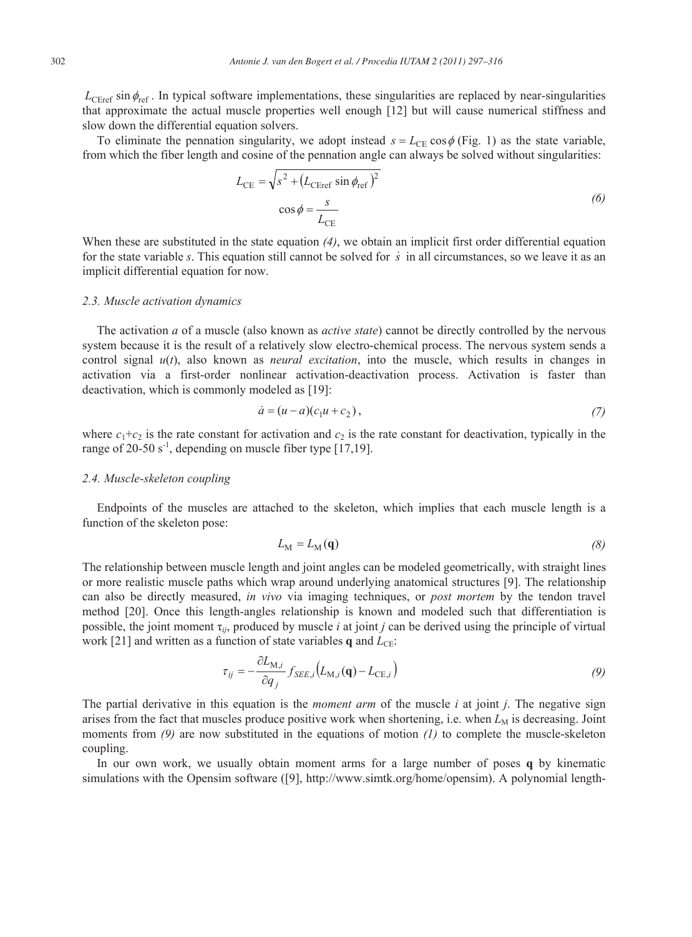$L_{\text{CER} \cdot \text{F}}$  in typical software implementations, these singularities are replaced by near-singularities that approximate the actual muscle properties well enough [12] but will cause numerical stiffness and slow down the differential equation solvers.

To eliminate the pennation singularity, we adopt instead  $s = L_{\text{CE}} \cos \phi$  (Fig. 1) as the state variable, from which the fiber length and cosine of the pennation angle can always be solved without singularities:

$$
L_{\rm CE} = \sqrt{s^2 + (L_{\rm CEref} \sin \phi_{\rm ref})^2}
$$
  

$$
\cos \phi = \frac{s}{L_{\rm CE}}
$$
 (6)

When these are substituted in the state equation *(4)*, we obtain an implicit first order differential equation for the state variable *s*. This equation still cannot be solved for *s* in all circumstances, so we leave it as an implicit differential equation for now.

#### *2.3. Muscle activation dynamics*

The activation *a* of a muscle (also known as *active state*) cannot be directly controlled by the nervous system because it is the result of a relatively slow electro-chemical process. The nervous system sends a control signal *u*(*t*), also known as *neural excitation*, into the muscle, which results in changes in activation via a first-order nonlinear activation-deactivation process. Activation is faster than deactivation, which is commonly modeled as [19]:

$$
\dot{a} = (u - a)(c_1u + c_2),\tag{7}
$$

where  $c_1+c_2$  is the rate constant for activation and  $c_2$  is the rate constant for deactivation, typically in the range of 20-50  $s^{-1}$ , depending on muscle fiber type [17,19].

#### *2.4. Muscle-skeleton coupling*

Endpoints of the muscles are attached to the skeleton, which implies that each muscle length is a function of the skeleton pose:

$$
L_{\rm M} = L_{\rm M}(\mathbf{q})\tag{8}
$$

The relationship between muscle length and joint angles can be modeled geometrically, with straight lines or more realistic muscle paths which wrap around underlying anatomical structures [9]. The relationship can also be directly measured, *in vivo* via imaging techniques, or *post mortem* by the tendon travel method [20]. Once this length-angles relationship is known and modeled such that differentiation is possible, the joint moment  $\tau_{ij}$ , produced by muscle *i* at joint *j* can be derived using the principle of virtual work [21] and written as a function of state variables  $q$  and  $L_{CE}$ :

$$
\tau_{ij} = -\frac{\partial L_{\mathrm{M},i}}{\partial q_j} f_{\mathrm{SEE},i} \left( L_{\mathrm{M},i}(\mathbf{q}) - L_{\mathrm{CE},i} \right) \tag{9}
$$

The partial derivative in this equation is the *moment arm* of the muscle *i* at joint *j*. The negative sign arises from the fact that muscles produce positive work when shortening, i.e. when  $L_M$  is decreasing. Joint moments from *(9)* are now substituted in the equations of motion *(1)* to complete the muscle-skeleton coupling.

In our own work, we usually obtain moment arms for a large number of poses **q** by kinematic simulations with the Opensim software ([9], http://www.simtk.org/home/opensim). A polynomial length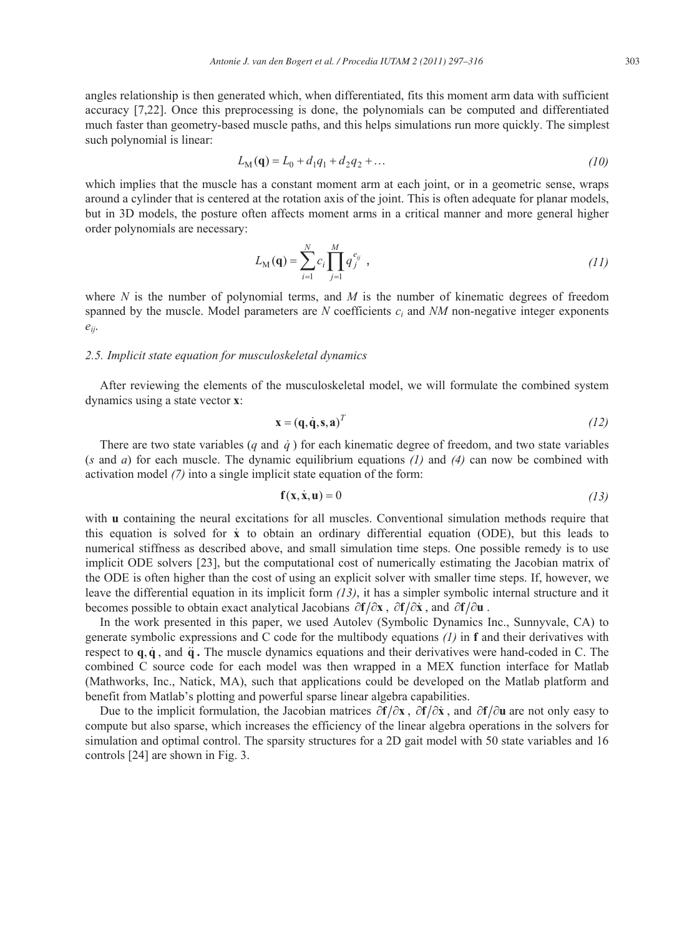angles relationship is then generated which, when differentiated, fits this moment arm data with sufficient accuracy [7,22]. Once this preprocessing is done, the polynomials can be computed and differentiated much faster than geometry-based muscle paths, and this helps simulations run more quickly. The simplest such polynomial is linear:

$$
L_M(\mathbf{q}) = L_0 + d_1 q_1 + d_2 q_2 + \dots \tag{10}
$$

which implies that the muscle has a constant moment arm at each joint, or in a geometric sense, wraps around a cylinder that is centered at the rotation axis of the joint. This is often adequate for planar models, but in 3D models, the posture often affects moment arms in a critical manner and more general higher order polynomials are necessary:

$$
L_{\rm M}(\mathbf{q}) = \sum_{i=1}^{N} c_i \prod_{j=1}^{M} q_j^{e_{ij}} , \qquad (11)
$$

where *N* is the number of polynomial terms, and *M* is the number of kinematic degrees of freedom spanned by the muscle. Model parameters are *N* coefficients *ci* and *NM* non-negative integer exponents *eij*.

# *2.5. Implicit state equation for musculoskeletal dynamics*

After reviewing the elements of the musculoskeletal model, we will formulate the combined system dynamics using a state vector **x**:

$$
\mathbf{x} = (\mathbf{q}, \dot{\mathbf{q}}, \mathbf{s}, \mathbf{a})^T \tag{12}
$$

There are two state variables  $(q \text{ and } \dot{q})$  for each kinematic degree of freedom, and two state variables (*s* and *a*) for each muscle. The dynamic equilibrium equations *(1)* and *(4)* can now be combined with activation model *(7)* into a single implicit state equation of the form:

$$
\mathbf{f}(\mathbf{x}, \dot{\mathbf{x}}, \mathbf{u}) = 0 \tag{13}
$$

with **u** containing the neural excitations for all muscles. Conventional simulation methods require that this equation is solved for **x** to obtain an ordinary differential equation (ODE), but this leads to numerical stiffness as described above, and small simulation time steps. One possible remedy is to use implicit ODE solvers [23], but the computational cost of numerically estimating the Jacobian matrix of the ODE is often higher than the cost of using an explicit solver with smaller time steps. If, however, we leave the differential equation in its implicit form *(13)*, it has a simpler symbolic internal structure and it becomes possible to obtain exact analytical Jacobians  $\partial f/\partial x$ ,  $\partial f/\partial \dot{x}$ , and  $\partial f/\partial u$ .

In the work presented in this paper, we used Autolev (Symbolic Dynamics Inc., Sunnyvale, CA) to generate symbolic expressions and C code for the multibody equations *(1)* in **f** and their derivatives with respect to  $\mathbf{q}, \dot{\mathbf{q}},$  and  $\ddot{\mathbf{q}}$ . The muscle dynamics equations and their derivatives were hand-coded in C. The combined C source code for each model was then wrapped in a MEX function interface for Matlab (Mathworks, Inc., Natick, MA), such that applications could be developed on the Matlab platform and benefit from Matlab's plotting and powerful sparse linear algebra capabilities.

Due to the implicit formulation, the Jacobian matrices  $\partial f/\partial x$ ,  $\partial f/\partial \dot{x}$ , and  $\partial f/\partial u$  are not only easy to compute but also sparse, which increases the efficiency of the linear algebra operations in the solvers for simulation and optimal control. The sparsity structures for a 2D gait model with 50 state variables and 16 controls [24] are shown in Fig. 3.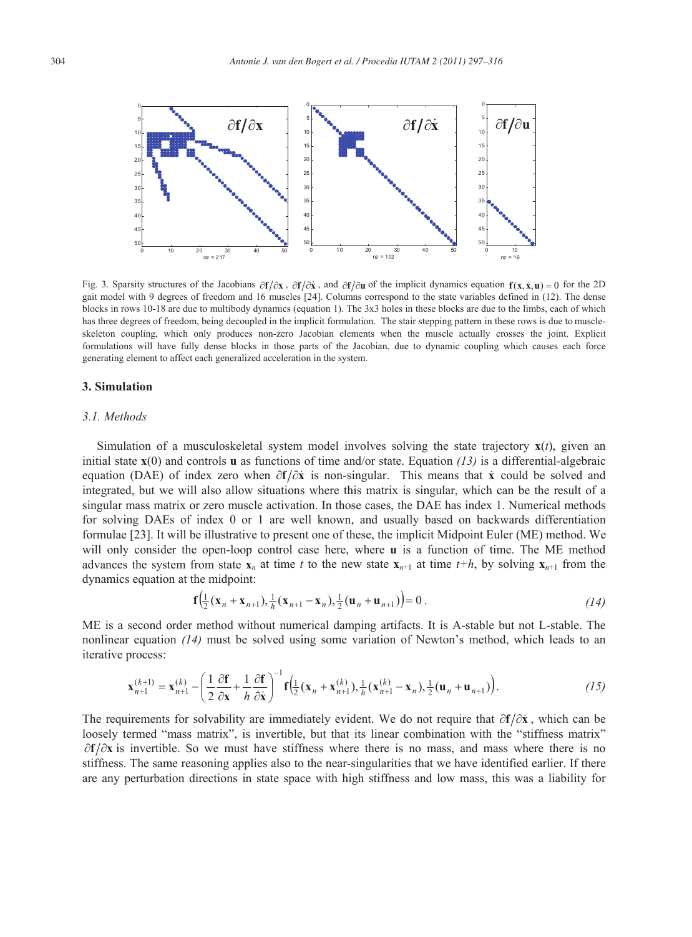

Fig. 3. Sparsity structures of the Jacobians  $\frac{\partial \mathbf{f}}{\partial x}$ ,  $\frac{\partial \mathbf{f}}{\partial x}$ , and  $\frac{\partial \mathbf{f}}{\partial u}$  of the implicit dynamics equation  $\mathbf{f}(x, \dot{x}, u) = 0$  for the 2D gait model with 9 degrees of freedom and 16 muscles [24]. Columns correspond to the state variables defined in (12). The dense blocks in rows 10-18 are due to multibody dynamics (equation 1). The 3x3 holes in these blocks are due to the limbs, each of which has three degrees of freedom, being decoupled in the implicit formulation. The stair stepping pattern in these rows is due to muscleskeleton coupling, which only produces non-zero Jacobian elements when the muscle actually crosses the joint. Explicit formulations will have fully dense blocks in those parts of the Jacobian, due to dynamic coupling which causes each force generating element to affect each generalized acceleration in the system.

# **3. Simulation**

# *3.1. Methods*

Simulation of a musculoskeletal system model involves solving the state trajectory **x**(*t*), given an initial state  $\mathbf{x}(0)$  and controls **u** as functions of time and/or state. Equation (13) is a differential-algebraic equation (DAE) of index zero when  $\partial f/\partial \dot{x}$  is non-singular. This means that  $\dot{x}$  could be solved and integrated, but we will also allow situations where this matrix is singular, which can be the result of a singular mass matrix or zero muscle activation. In those cases, the DAE has index 1. Numerical methods for solving DAEs of index 0 or 1 are well known, and usually based on backwards differentiation formulae [23]. It will be illustrative to present one of these, the implicit Midpoint Euler (ME) method. We will only consider the open-loop control case here, where **u** is a function of time. The ME method advances the system from state  $\mathbf{x}_n$  at time *t* to the new state  $\mathbf{x}_{n+1}$  at time *t*+*h*, by solving  $\mathbf{x}_{n+1}$  from the dynamics equation at the midpoint:

$$
\mathbf{f}\Big(\frac{1}{2}(\mathbf{x}_n + \mathbf{x}_{n+1}), \frac{1}{h}(\mathbf{x}_{n+1} - \mathbf{x}_n), \frac{1}{2}(\mathbf{u}_n + \mathbf{u}_{n+1})\Big) = 0.
$$
 (14)

ME is a second order method without numerical damping artifacts. It is A-stable but not L-stable. The nonlinear equation *(14)* must be solved using some variation of Newton's method, which leads to an iterative process:

$$
\mathbf{x}_{n+1}^{(k+1)} = \mathbf{x}_{n+1}^{(k)} - \left(\frac{1}{2}\frac{\partial \mathbf{f}}{\partial \mathbf{x}} + \frac{1}{h}\frac{\partial \mathbf{f}}{\partial \mathbf{x}}\right)^{-1} \mathbf{f}\left(\frac{1}{2}(\mathbf{x}_n + \mathbf{x}_{n+1}^{(k)}), \frac{1}{h}(\mathbf{x}_{n+1}^{(k)} - \mathbf{x}_n), \frac{1}{2}(\mathbf{u}_n + \mathbf{u}_{n+1})\right). \tag{15}
$$

The requirements for solvability are immediately evident. We do not require that  $\partial f/\partial \dot{x}$ , which can be loosely termed "mass matrix", is invertible, but that its linear combination with the "stiffness matrix"  $\partial f/\partial x$  is invertible. So we must have stiffness where there is no mass, and mass where there is no stiffness. The same reasoning applies also to the near-singularities that we have identified earlier. If there are any perturbation directions in state space with high stiffness and low mass, this was a liability for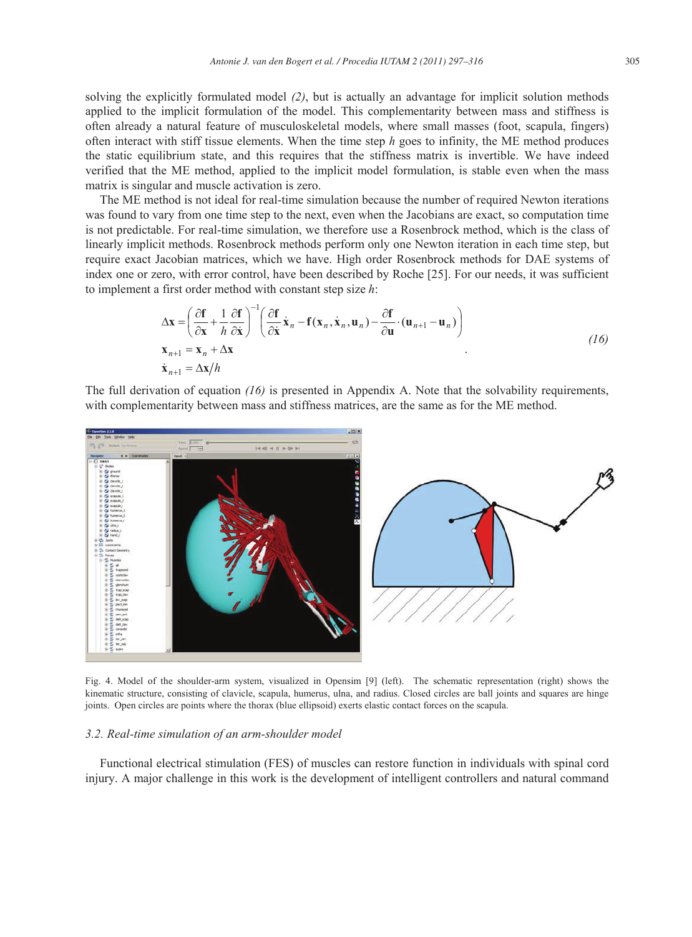solving the explicitly formulated model *(2)*, but is actually an advantage for implicit solution methods applied to the implicit formulation of the model. This complementarity between mass and stiffness is often already a natural feature of musculoskeletal models, where small masses (foot, scapula, fingers) often interact with stiff tissue elements. When the time step *h* goes to infinity, the ME method produces the static equilibrium state, and this requires that the stiffness matrix is invertible. We have indeed verified that the ME method, applied to the implicit model formulation, is stable even when the mass matrix is singular and muscle activation is zero.

The ME method is not ideal for real-time simulation because the number of required Newton iterations was found to vary from one time step to the next, even when the Jacobians are exact, so computation time is not predictable. For real-time simulation, we therefore use a Rosenbrock method, which is the class of linearly implicit methods. Rosenbrock methods perform only one Newton iteration in each time step, but require exact Jacobian matrices, which we have. High order Rosenbrock methods for DAE systems of index one or zero, with error control, have been described by Roche [25]. For our needs, it was sufficient to implement a first order method with constant step size *h*:

$$
\Delta \mathbf{x} = \left( \frac{\partial \mathbf{f}}{\partial \mathbf{x}} + \frac{1}{h} \frac{\partial \mathbf{f}}{\partial \dot{\mathbf{x}}} \right)^{-1} \left( \frac{\partial \mathbf{f}}{\partial \dot{\mathbf{x}}} \dot{\mathbf{x}}_n - \mathbf{f}(\mathbf{x}_n, \dot{\mathbf{x}}_n, \mathbf{u}_n) - \frac{\partial \mathbf{f}}{\partial \mathbf{u}} \cdot (\mathbf{u}_{n+1} - \mathbf{u}_n) \right)
$$
\n
$$
\mathbf{x}_{n+1} = \mathbf{x}_n + \Delta \mathbf{x}
$$
\n
$$
\dot{\mathbf{x}}_{n+1} = \Delta \mathbf{x}/h
$$
\n(16)

The full derivation of equation *(16)* is presented in Appendix A. Note that the solvability requirements, with complementarity between mass and stiffness matrices, are the same as for the ME method.



Fig. 4. Model of the shoulder-arm system, visualized in Opensim [9] (left). The schematic representation (right) shows the kinematic structure, consisting of clavicle, scapula, humerus, ulna, and radius. Closed circles are ball joints and squares are hinge joints. Open circles are points where the thorax (blue ellipsoid) exerts elastic contact forces on the scapula.

# *3.2. Real-time simulation of an arm-shoulder model*

Functional electrical stimulation (FES) of muscles can restore function in individuals with spinal cord injury. A major challenge in this work is the development of intelligent controllers and natural command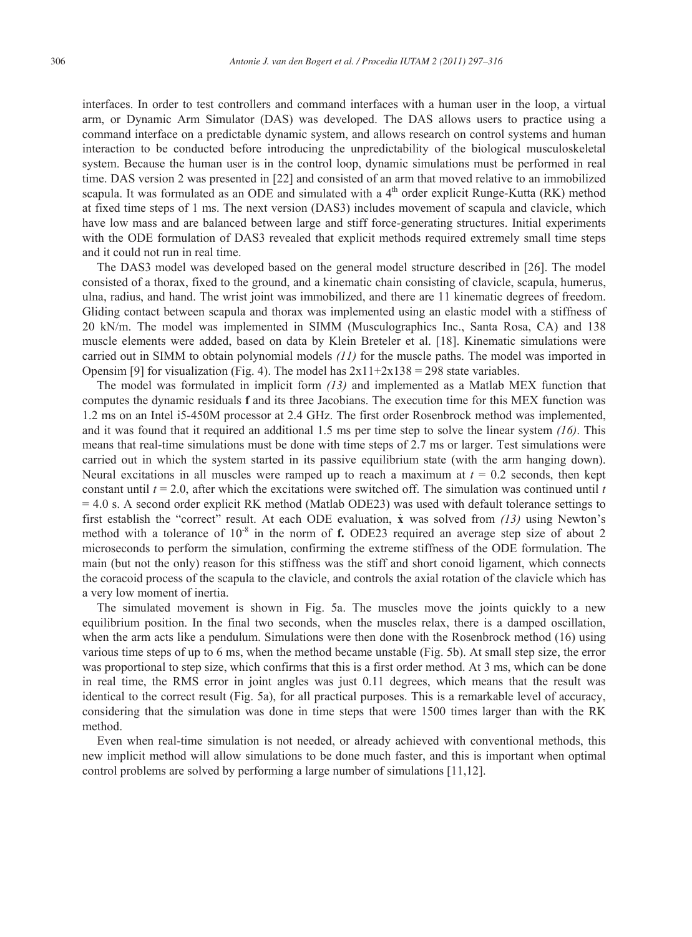interfaces. In order to test controllers and command interfaces with a human user in the loop, a virtual arm, or Dynamic Arm Simulator (DAS) was developed. The DAS allows users to practice using a command interface on a predictable dynamic system, and allows research on control systems and human interaction to be conducted before introducing the unpredictability of the biological musculoskeletal system. Because the human user is in the control loop, dynamic simulations must be performed in real time. DAS version 2 was presented in [22] and consisted of an arm that moved relative to an immobilized scapula. It was formulated as an ODE and simulated with a  $4<sup>th</sup>$  order explicit Runge-Kutta (RK) method at fixed time steps of 1 ms. The next version (DAS3) includes movement of scapula and clavicle, which have low mass and are balanced between large and stiff force-generating structures. Initial experiments with the ODE formulation of DAS3 revealed that explicit methods required extremely small time steps and it could not run in real time.

The DAS3 model was developed based on the general model structure described in [26]. The model consisted of a thorax, fixed to the ground, and a kinematic chain consisting of clavicle, scapula, humerus, ulna, radius, and hand. The wrist joint was immobilized, and there are 11 kinematic degrees of freedom. Gliding contact between scapula and thorax was implemented using an elastic model with a stiffness of 20 kN/m. The model was implemented in SIMM (Musculographics Inc., Santa Rosa, CA) and 138 muscle elements were added, based on data by Klein Breteler et al. [18]. Kinematic simulations were carried out in SIMM to obtain polynomial models *(11)* for the muscle paths. The model was imported in Opensim [9] for visualization (Fig. 4). The model has  $2x11+2x138 = 298$  state variables.

The model was formulated in implicit form *(13)* and implemented as a Matlab MEX function that computes the dynamic residuals **f** and its three Jacobians. The execution time for this MEX function was 1.2 ms on an Intel i5-450M processor at 2.4 GHz. The first order Rosenbrock method was implemented, and it was found that it required an additional 1.5 ms per time step to solve the linear system *(16)*. This means that real-time simulations must be done with time steps of 2.7 ms or larger. Test simulations were carried out in which the system started in its passive equilibrium state (with the arm hanging down). Neural excitations in all muscles were ramped up to reach a maximum at  $t = 0.2$  seconds, then kept constant until *t* = 2.0, after which the excitations were switched off. The simulation was continued until *t* = 4.0 s. A second order explicit RK method (Matlab ODE23) was used with default tolerance settings to first establish the "correct" result. At each ODE evaluation, **x** was solved from *(13)* using Newton's method with a tolerance of 10<sup>-8</sup> in the norm of **f.** ODE23 required an average step size of about 2 microseconds to perform the simulation, confirming the extreme stiffness of the ODE formulation. The main (but not the only) reason for this stiffness was the stiff and short conoid ligament, which connects the coracoid process of the scapula to the clavicle, and controls the axial rotation of the clavicle which has a very low moment of inertia.

The simulated movement is shown in Fig. 5a. The muscles move the joints quickly to a new equilibrium position. In the final two seconds, when the muscles relax, there is a damped oscillation, when the arm acts like a pendulum. Simulations were then done with the Rosenbrock method (16) using various time steps of up to 6 ms, when the method became unstable (Fig. 5b). At small step size, the error was proportional to step size, which confirms that this is a first order method. At 3 ms, which can be done in real time, the RMS error in joint angles was just 0.11 degrees, which means that the result was identical to the correct result (Fig. 5a), for all practical purposes. This is a remarkable level of accuracy, considering that the simulation was done in time steps that were 1500 times larger than with the RK method.

Even when real-time simulation is not needed, or already achieved with conventional methods, this new implicit method will allow simulations to be done much faster, and this is important when optimal control problems are solved by performing a large number of simulations [11,12].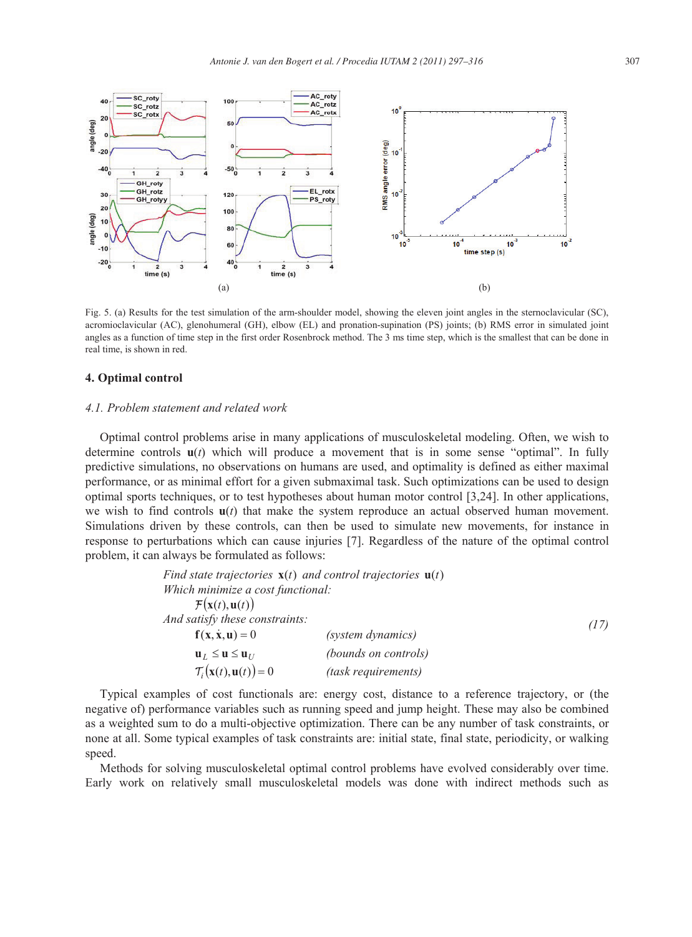

Fig. 5. (a) Results for the test simulation of the arm-shoulder model, showing the eleven joint angles in the sternoclavicular (SC), acromioclavicular (AC), glenohumeral (GH), elbow (EL) and pronation-supination (PS) joints; (b) RMS error in simulated joint angles as a function of time step in the first order Rosenbrock method. The 3 ms time step, which is the smallest that can be done in real time, is shown in red.

# **4. Optimal control**

#### *4.1. Problem statement and related work*

Optimal control problems arise in many applications of musculoskeletal modeling. Often, we wish to determine controls **u**(*t*) which will produce a movement that is in some sense "optimal". In fully predictive simulations, no observations on humans are used, and optimality is defined as either maximal performance, or as minimal effort for a given submaximal task. Such optimizations can be used to design optimal sports techniques, or to test hypotheses about human motor control [3,24]. In other applications, we wish to find controls  $u(t)$  that make the system reproduce an actual observed human movement. Simulations driven by these controls, can then be used to simulate new movements, for instance in response to perturbations which can cause injuries [7]. Regardless of the nature of the optimal control problem, it can always be formulated as follows:

|                                                            | Find state trajectories $\mathbf{x}(t)$ and control trajectories $\mathbf{u}(t)$ |      |
|------------------------------------------------------------|----------------------------------------------------------------------------------|------|
| Which minimize a cost functional:                          |                                                                                  |      |
| $\mathcal{F}(\mathbf{x}(t), \mathbf{u}(t))$                |                                                                                  |      |
| And satisfy these constraints:                             |                                                                                  | (17) |
| $\mathbf{f}(\mathbf{x}, \dot{\mathbf{x}}, \mathbf{u}) = 0$ | (system dynamics)                                                                |      |
| $\mathbf{u}_{I} \leq \mathbf{u} \leq \mathbf{u}_{II}$      | (bounds on controls)                                                             |      |
| $\mathcal{T}_i(\mathbf{x}(t), \mathbf{u}(t)) = 0$          | (task requirements)                                                              |      |

Typical examples of cost functionals are: energy cost, distance to a reference trajectory, or (the negative of) performance variables such as running speed and jump height. These may also be combined as a weighted sum to do a multi-objective optimization. There can be any number of task constraints, or none at all. Some typical examples of task constraints are: initial state, final state, periodicity, or walking speed.

Methods for solving musculoskeletal optimal control problems have evolved considerably over time. Early work on relatively small musculoskeletal models was done with indirect methods such as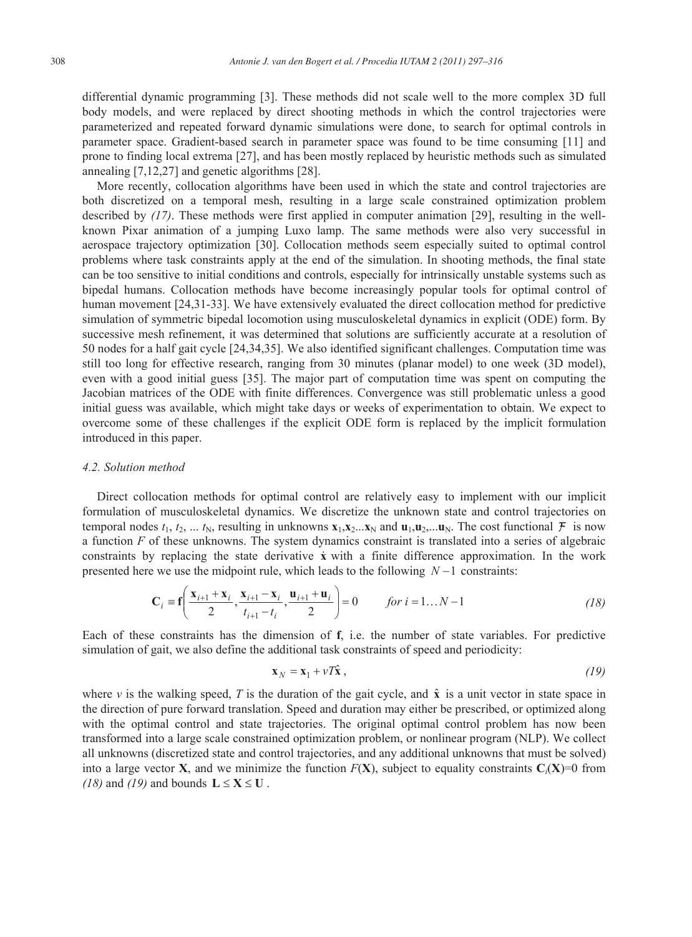differential dynamic programming [3]. These methods did not scale well to the more complex 3D full body models, and were replaced by direct shooting methods in which the control trajectories were parameterized and repeated forward dynamic simulations were done, to search for optimal controls in parameter space. Gradient-based search in parameter space was found to be time consuming [11] and prone to finding local extrema [27], and has been mostly replaced by heuristic methods such as simulated annealing [7,12,27] and genetic algorithms [28].

More recently, collocation algorithms have been used in which the state and control trajectories are both discretized on a temporal mesh, resulting in a large scale constrained optimization problem described by *(17)*. These methods were first applied in computer animation [29], resulting in the wellknown Pixar animation of a jumping Luxo lamp. The same methods were also very successful in aerospace trajectory optimization [30]. Collocation methods seem especially suited to optimal control problems where task constraints apply at the end of the simulation. In shooting methods, the final state can be too sensitive to initial conditions and controls, especially for intrinsically unstable systems such as bipedal humans. Collocation methods have become increasingly popular tools for optimal control of human movement [24,31-33]. We have extensively evaluated the direct collocation method for predictive simulation of symmetric bipedal locomotion using musculoskeletal dynamics in explicit (ODE) form. By successive mesh refinement, it was determined that solutions are sufficiently accurate at a resolution of 50 nodes for a half gait cycle [24,34,35]. We also identified significant challenges. Computation time was still too long for effective research, ranging from 30 minutes (planar model) to one week (3D model), even with a good initial guess [35]. The major part of computation time was spent on computing the Jacobian matrices of the ODE with finite differences. Convergence was still problematic unless a good initial guess was available, which might take days or weeks of experimentation to obtain. We expect to overcome some of these challenges if the explicit ODE form is replaced by the implicit formulation introduced in this paper.

#### *4.2. Solution method*

Direct collocation methods for optimal control are relatively easy to implement with our implicit formulation of musculoskeletal dynamics. We discretize the unknown state and control trajectories on temporal nodes  $t_1, t_2, \ldots, t_N$ , resulting in unknowns  $\mathbf{x}_1, \mathbf{x}_2, \ldots, \mathbf{x}_N$  and  $\mathbf{u}_1, \mathbf{u}_2, \ldots, \mathbf{u}_N$ . The cost functional  $\mathcal{F}$  is now a function *F* of these unknowns. The system dynamics constraint is translated into a series of algebraic constraints by replacing the state derivative **x** with a finite difference approximation. In the work presented here we use the midpoint rule, which leads to the following  $N-1$  constraints:

$$
\mathbf{C}_{i} = \mathbf{f}\left(\frac{\mathbf{x}_{i+1} + \mathbf{x}_{i}}{2}, \frac{\mathbf{x}_{i+1} - \mathbf{x}_{i}}{t_{i+1} - t_{i}}, \frac{\mathbf{u}_{i+1} + \mathbf{u}_{i}}{2}\right) = 0 \qquad \text{for } i = 1...N - 1
$$
 (18)

Each of these constraints has the dimension of **f**, i.e. the number of state variables. For predictive simulation of gait, we also define the additional task constraints of speed and periodicity:

$$
\mathbf{x}_N = \mathbf{x}_1 + \nu T \hat{\mathbf{x}} \,,\tag{19}
$$

where  $\nu$  is the walking speed, *T* is the duration of the gait cycle, and  $\hat{\mathbf{x}}$  is a unit vector in state space in the direction of pure forward translation. Speed and duration may either be prescribed, or optimized along with the optimal control and state trajectories. The original optimal control problem has now been transformed into a large scale constrained optimization problem, or nonlinear program (NLP). We collect all unknowns (discretized state and control trajectories, and any additional unknowns that must be solved) into a large vector **X**, and we minimize the function  $F(X)$ , subject to equality constraints  $C_i(X)=0$  from *(18)* and *(19)* and bounds  $L \le X \le U$ .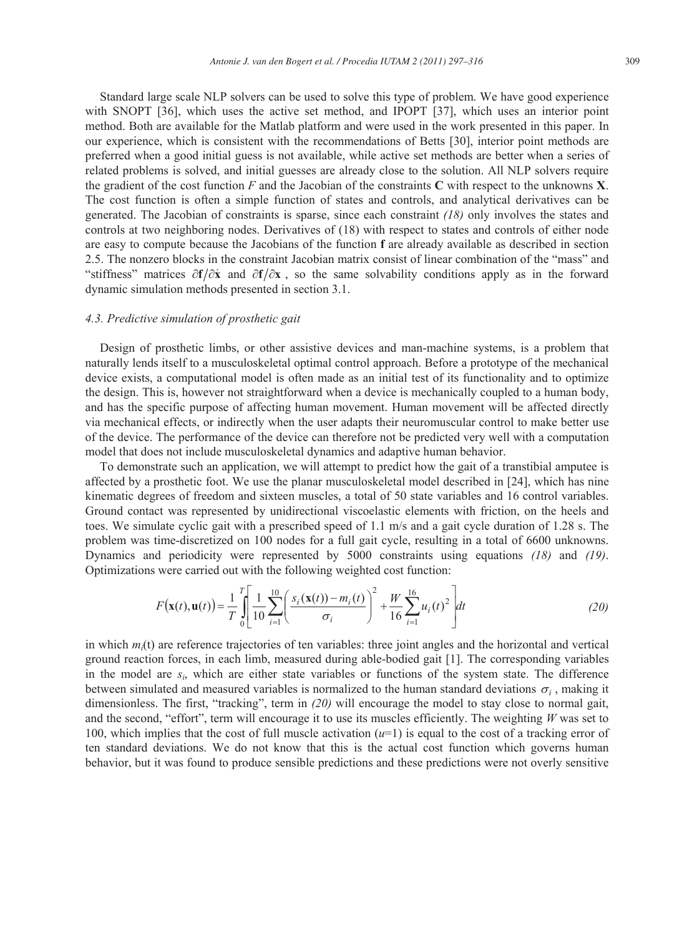Standard large scale NLP solvers can be used to solve this type of problem. We have good experience with SNOPT [36], which uses the active set method, and IPOPT [37], which uses an interior point method. Both are available for the Matlab platform and were used in the work presented in this paper. In our experience, which is consistent with the recommendations of Betts [30], interior point methods are preferred when a good initial guess is not available, while active set methods are better when a series of related problems is solved, and initial guesses are already close to the solution. All NLP solvers require the gradient of the cost function *F* and the Jacobian of the constraints **C** with respect to the unknowns **X**. The cost function is often a simple function of states and controls, and analytical derivatives can be generated. The Jacobian of constraints is sparse, since each constraint *(18)* only involves the states and controls at two neighboring nodes. Derivatives of (18) with respect to states and controls of either node are easy to compute because the Jacobians of the function **f** are already available as described in section 2.5. The nonzero blocks in the constraint Jacobian matrix consist of linear combination of the "mass" and "stiffness" matrices  $\partial f/\partial x$  and  $\partial f/\partial x$ , so the same solvability conditions apply as in the forward dynamic simulation methods presented in section 3.1.

# *4.3. Predictive simulation of prosthetic gait*

Design of prosthetic limbs, or other assistive devices and man-machine systems, is a problem that naturally lends itself to a musculoskeletal optimal control approach. Before a prototype of the mechanical device exists, a computational model is often made as an initial test of its functionality and to optimize the design. This is, however not straightforward when a device is mechanically coupled to a human body, and has the specific purpose of affecting human movement. Human movement will be affected directly via mechanical effects, or indirectly when the user adapts their neuromuscular control to make better use of the device. The performance of the device can therefore not be predicted very well with a computation model that does not include musculoskeletal dynamics and adaptive human behavior.

To demonstrate such an application, we will attempt to predict how the gait of a transtibial amputee is affected by a prosthetic foot. We use the planar musculoskeletal model described in [24], which has nine kinematic degrees of freedom and sixteen muscles, a total of 50 state variables and 16 control variables. Ground contact was represented by unidirectional viscoelastic elements with friction, on the heels and toes. We simulate cyclic gait with a prescribed speed of 1.1 m/s and a gait cycle duration of 1.28 s. The problem was time-discretized on 100 nodes for a full gait cycle, resulting in a total of 6600 unknowns. Dynamics and periodicity were represented by 5000 constraints using equations *(18)* and *(19)*. Optimizations were carried out with the following weighted cost function:

$$
F(\mathbf{x}(t), \mathbf{u}(t)) = \frac{1}{T} \int_{0}^{T} \left[ \frac{1}{10} \sum_{i=1}^{10} \left( \frac{s_i(\mathbf{x}(t)) - m_i(t)}{\sigma_i} \right)^2 + \frac{W}{16} \sum_{i=1}^{16} u_i(t)^2 \right] dt
$$
 (20)

in which  $m<sub>i</sub>(t)$  are reference trajectories of ten variables: three joint angles and the horizontal and vertical ground reaction forces, in each limb, measured during able-bodied gait [1]. The corresponding variables in the model are *si*, which are either state variables or functions of the system state. The difference between simulated and measured variables is normalized to the human standard deviations  $\sigma_i$ , making it dimensionless. The first, "tracking", term in *(20)* will encourage the model to stay close to normal gait, and the second, "effort", term will encourage it to use its muscles efficiently. The weighting *W* was set to 100, which implies that the cost of full muscle activation (*u*=1) is equal to the cost of a tracking error of ten standard deviations. We do not know that this is the actual cost function which governs human behavior, but it was found to produce sensible predictions and these predictions were not overly sensitive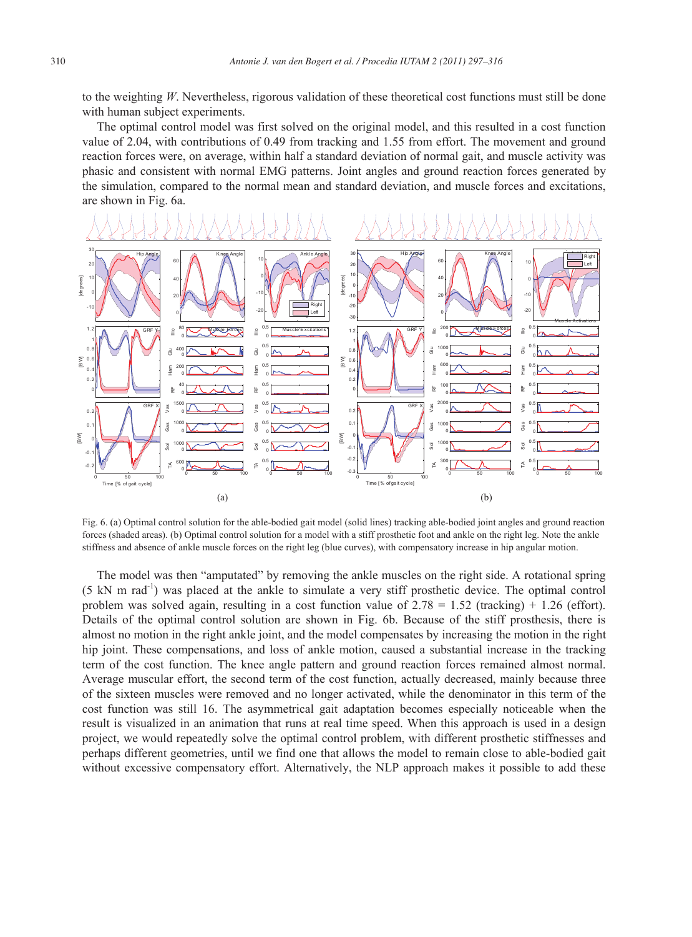to the weighting *W*. Nevertheless, rigorous validation of these theoretical cost functions must still be done with human subject experiments.

The optimal control model was first solved on the original model, and this resulted in a cost function value of 2.04, with contributions of 0.49 from tracking and 1.55 from effort. The movement and ground reaction forces were, on average, within half a standard deviation of normal gait, and muscle activity was phasic and consistent with normal EMG patterns. Joint angles and ground reaction forces generated by the simulation, compared to the normal mean and standard deviation, and muscle forces and excitations, are shown in Fig. 6a.



Fig. 6. (a) Optimal control solution for the able-bodied gait model (solid lines) tracking able-bodied joint angles and ground reaction forces (shaded areas). (b) Optimal control solution for a model with a stiff prosthetic foot and ankle on the right leg. Note the ankle stiffness and absence of ankle muscle forces on the right leg (blue curves), with compensatory increase in hip angular motion.

The model was then "amputated" by removing the ankle muscles on the right side. A rotational spring (5 kN m rad-1) was placed at the ankle to simulate a very stiff prosthetic device. The optimal control problem was solved again, resulting in a cost function value of  $2.78 = 1.52$  (tracking) + 1.26 (effort). Details of the optimal control solution are shown in Fig. 6b. Because of the stiff prosthesis, there is almost no motion in the right ankle joint, and the model compensates by increasing the motion in the right hip joint. These compensations, and loss of ankle motion, caused a substantial increase in the tracking term of the cost function. The knee angle pattern and ground reaction forces remained almost normal. Average muscular effort, the second term of the cost function, actually decreased, mainly because three of the sixteen muscles were removed and no longer activated, while the denominator in this term of the cost function was still 16. The asymmetrical gait adaptation becomes especially noticeable when the result is visualized in an animation that runs at real time speed. When this approach is used in a design project, we would repeatedly solve the optimal control problem, with different prosthetic stiffnesses and perhaps different geometries, until we find one that allows the model to remain close to able-bodied gait without excessive compensatory effort. Alternatively, the NLP approach makes it possible to add these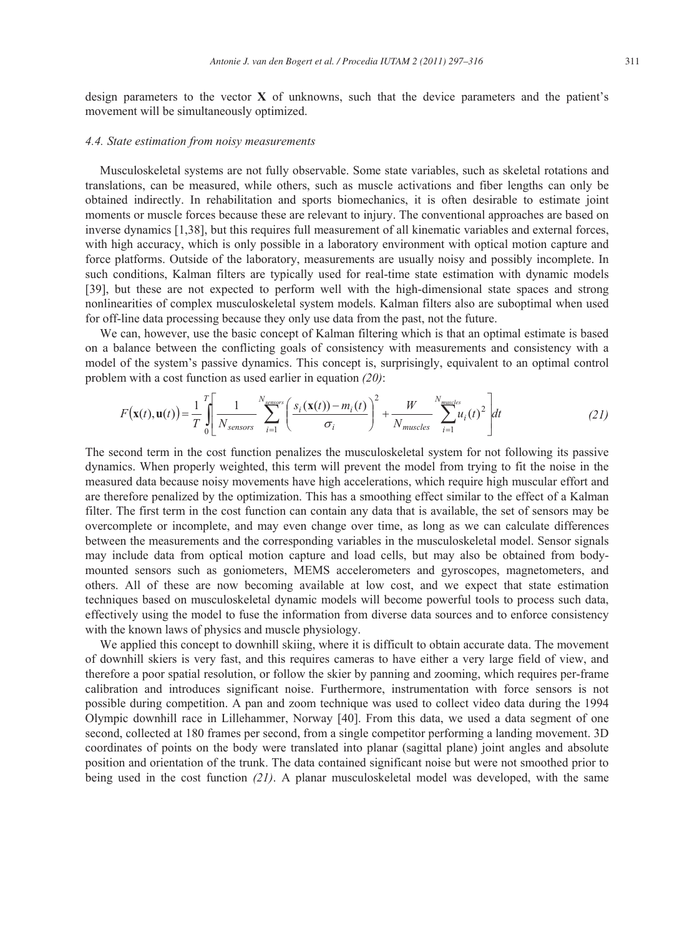design parameters to the vector **X** of unknowns, such that the device parameters and the patient's movement will be simultaneously optimized.

#### *4.4. State estimation from noisy measurements*

Musculoskeletal systems are not fully observable. Some state variables, such as skeletal rotations and translations, can be measured, while others, such as muscle activations and fiber lengths can only be obtained indirectly. In rehabilitation and sports biomechanics, it is often desirable to estimate joint moments or muscle forces because these are relevant to injury. The conventional approaches are based on inverse dynamics [1,38], but this requires full measurement of all kinematic variables and external forces, with high accuracy, which is only possible in a laboratory environment with optical motion capture and force platforms. Outside of the laboratory, measurements are usually noisy and possibly incomplete. In such conditions, Kalman filters are typically used for real-time state estimation with dynamic models [39], but these are not expected to perform well with the high-dimensional state spaces and strong nonlinearities of complex musculoskeletal system models. Kalman filters also are suboptimal when used for off-line data processing because they only use data from the past, not the future.

We can, however, use the basic concept of Kalman filtering which is that an optimal estimate is based on a balance between the conflicting goals of consistency with measurements and consistency with a model of the system's passive dynamics. This concept is, surprisingly, equivalent to an optimal control problem with a cost function as used earlier in equation *(20)*:

$$
F(\mathbf{x}(t), \mathbf{u}(t)) = \frac{1}{T} \int_{0}^{T} \left[ \frac{1}{N_{sensors}} \sum_{i=1}^{N_{sensors}} \left( \frac{s_i(\mathbf{x}(t)) - m_i(t)}{\sigma_i} \right)^2 + \frac{W}{N_{muscles}} \sum_{i=1}^{N_{muscles}} u_i(t)^2 \right] dt
$$
(21)

The second term in the cost function penalizes the musculoskeletal system for not following its passive dynamics. When properly weighted, this term will prevent the model from trying to fit the noise in the measured data because noisy movements have high accelerations, which require high muscular effort and are therefore penalized by the optimization. This has a smoothing effect similar to the effect of a Kalman filter. The first term in the cost function can contain any data that is available, the set of sensors may be overcomplete or incomplete, and may even change over time, as long as we can calculate differences between the measurements and the corresponding variables in the musculoskeletal model. Sensor signals may include data from optical motion capture and load cells, but may also be obtained from bodymounted sensors such as goniometers, MEMS accelerometers and gyroscopes, magnetometers, and others. All of these are now becoming available at low cost, and we expect that state estimation techniques based on musculoskeletal dynamic models will become powerful tools to process such data, effectively using the model to fuse the information from diverse data sources and to enforce consistency with the known laws of physics and muscle physiology.

We applied this concept to downhill skiing, where it is difficult to obtain accurate data. The movement of downhill skiers is very fast, and this requires cameras to have either a very large field of view, and therefore a poor spatial resolution, or follow the skier by panning and zooming, which requires per-frame calibration and introduces significant noise. Furthermore, instrumentation with force sensors is not possible during competition. A pan and zoom technique was used to collect video data during the 1994 Olympic downhill race in Lillehammer, Norway [40]. From this data, we used a data segment of one second, collected at 180 frames per second, from a single competitor performing a landing movement. 3D coordinates of points on the body were translated into planar (sagittal plane) joint angles and absolute position and orientation of the trunk. The data contained significant noise but were not smoothed prior to being used in the cost function *(21)*. A planar musculoskeletal model was developed, with the same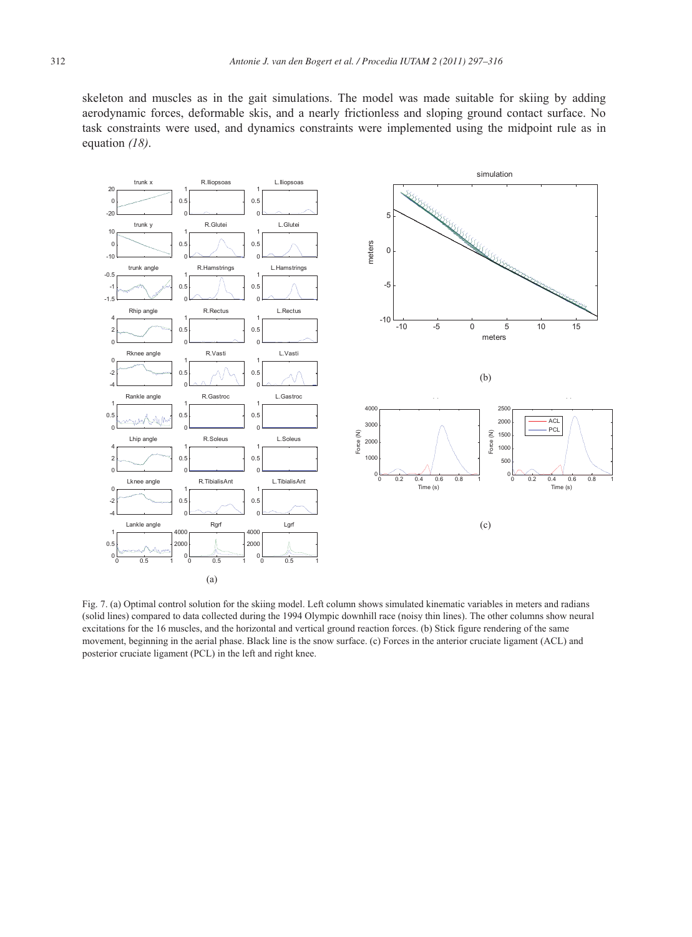skeleton and muscles as in the gait simulations. The model was made suitable for skiing by adding aerodynamic forces, deformable skis, and a nearly frictionless and sloping ground contact surface. No task constraints were used, and dynamics constraints were implemented using the midpoint rule as in equation *(18)*.



Fig. 7. (a) Optimal control solution for the skiing model. Left column shows simulated kinematic variables in meters and radians (solid lines) compared to data collected during the 1994 Olympic downhill race (noisy thin lines). The other columns show neural excitations for the 16 muscles, and the horizontal and vertical ground reaction forces. (b) Stick figure rendering of the same movement, beginning in the aerial phase. Black line is the snow surface. (c) Forces in the anterior cruciate ligament (ACL) and posterior cruciate ligament (PCL) in the left and right knee.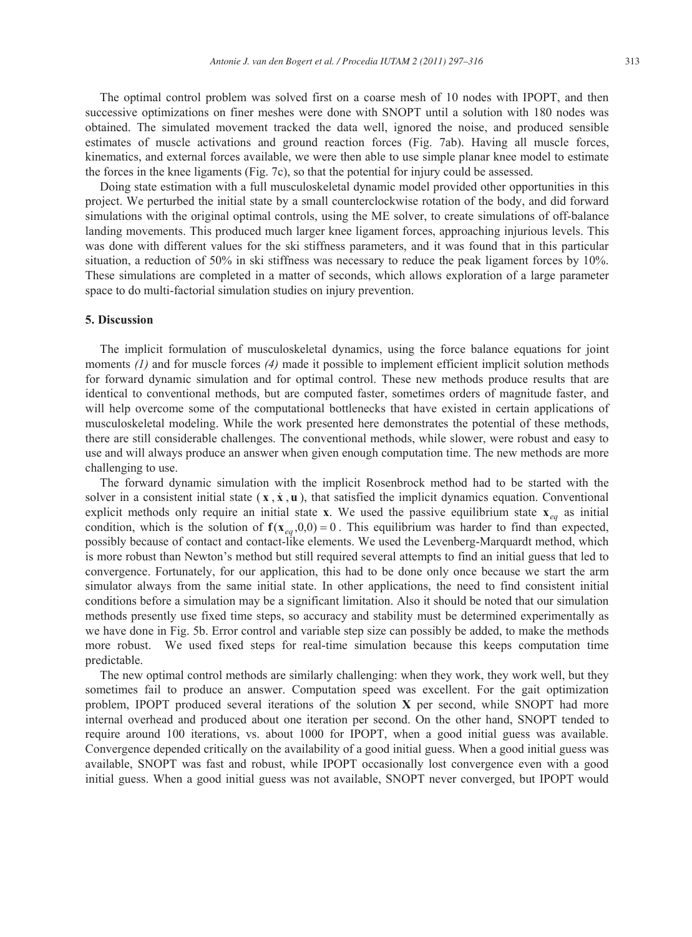The optimal control problem was solved first on a coarse mesh of 10 nodes with IPOPT, and then successive optimizations on finer meshes were done with SNOPT until a solution with 180 nodes was obtained. The simulated movement tracked the data well, ignored the noise, and produced sensible estimates of muscle activations and ground reaction forces (Fig. 7ab). Having all muscle forces, kinematics, and external forces available, we were then able to use simple planar knee model to estimate the forces in the knee ligaments (Fig. 7c), so that the potential for injury could be assessed.

Doing state estimation with a full musculoskeletal dynamic model provided other opportunities in this project. We perturbed the initial state by a small counterclockwise rotation of the body, and did forward simulations with the original optimal controls, using the ME solver, to create simulations of off-balance landing movements. This produced much larger knee ligament forces, approaching injurious levels. This was done with different values for the ski stiffness parameters, and it was found that in this particular situation, a reduction of 50% in ski stiffness was necessary to reduce the peak ligament forces by 10%. These simulations are completed in a matter of seconds, which allows exploration of a large parameter space to do multi-factorial simulation studies on injury prevention.

# **5. Discussion**

The implicit formulation of musculoskeletal dynamics, using the force balance equations for joint moments *(1)* and for muscle forces *(4)* made it possible to implement efficient implicit solution methods for forward dynamic simulation and for optimal control. These new methods produce results that are identical to conventional methods, but are computed faster, sometimes orders of magnitude faster, and will help overcome some of the computational bottlenecks that have existed in certain applications of musculoskeletal modeling. While the work presented here demonstrates the potential of these methods, there are still considerable challenges. The conventional methods, while slower, were robust and easy to use and will always produce an answer when given enough computation time. The new methods are more challenging to use.

The forward dynamic simulation with the implicit Rosenbrock method had to be started with the solver in a consistent initial state  $(\mathbf{x}, \dot{\mathbf{x}}, \mathbf{u})$ , that satisfied the implicit dynamics equation. Conventional explicit methods only require an initial state **x**. We used the passive equilibrium state  $\mathbf{x}_{eq}$  as initial condition, which is the solution of  $f(x_{eq},0,0)=0$ . This equilibrium was harder to find than expected, possibly because of contact and contact-like elements. We used the Levenberg-Marquardt method, which is more robust than Newton's method but still required several attempts to find an initial guess that led to convergence. Fortunately, for our application, this had to be done only once because we start the arm simulator always from the same initial state. In other applications, the need to find consistent initial conditions before a simulation may be a significant limitation. Also it should be noted that our simulation methods presently use fixed time steps, so accuracy and stability must be determined experimentally as we have done in Fig. 5b. Error control and variable step size can possibly be added, to make the methods more robust. We used fixed steps for real-time simulation because this keeps computation time predictable.

The new optimal control methods are similarly challenging: when they work, they work well, but they sometimes fail to produce an answer. Computation speed was excellent. For the gait optimization problem, IPOPT produced several iterations of the solution **X** per second, while SNOPT had more internal overhead and produced about one iteration per second. On the other hand, SNOPT tended to require around 100 iterations, vs. about 1000 for IPOPT, when a good initial guess was available. Convergence depended critically on the availability of a good initial guess. When a good initial guess was available, SNOPT was fast and robust, while IPOPT occasionally lost convergence even with a good initial guess. When a good initial guess was not available, SNOPT never converged, but IPOPT would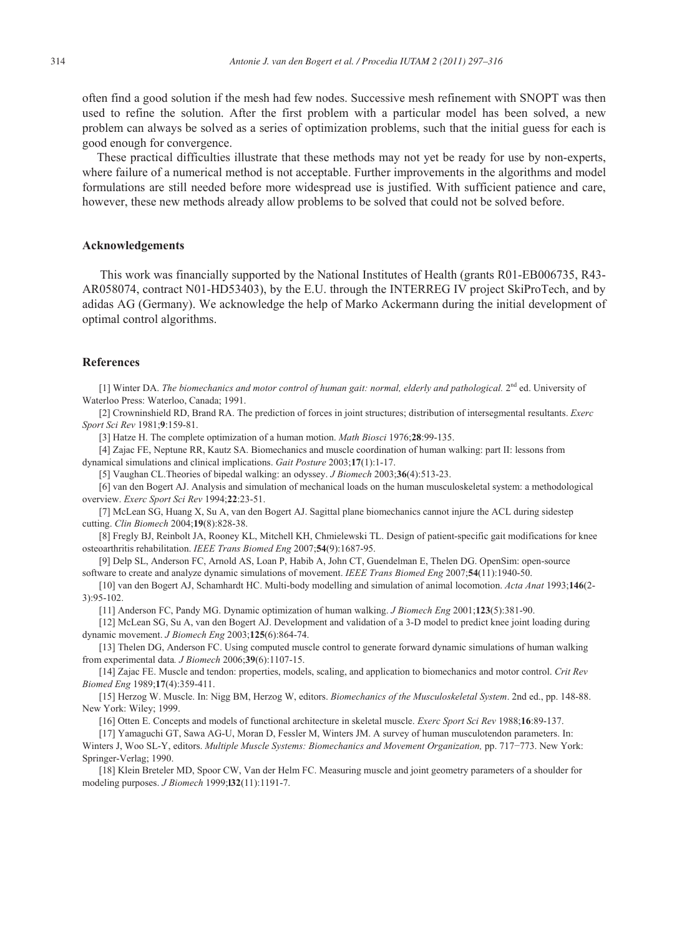often find a good solution if the mesh had few nodes. Successive mesh refinement with SNOPT was then used to refine the solution. After the first problem with a particular model has been solved, a new problem can always be solved as a series of optimization problems, such that the initial guess for each is good enough for convergence.

These practical difficulties illustrate that these methods may not yet be ready for use by non-experts, where failure of a numerical method is not acceptable. Further improvements in the algorithms and model formulations are still needed before more widespread use is justified. With sufficient patience and care, however, these new methods already allow problems to be solved that could not be solved before.

#### **Acknowledgements**

 This work was financially supported by the National Institutes of Health (grants R01-EB006735, R43- AR058074, contract N01-HD53403), by the E.U. through the INTERREG IV project SkiProTech, and by adidas AG (Germany). We acknowledge the help of Marko Ackermann during the initial development of optimal control algorithms.

#### **References**

[1] Winter DA. *The biomechanics and motor control of human gait: normal, elderly and pathological.* 2<sup>nd</sup> ed. University of Waterloo Press: Waterloo, Canada; 1991.

[2] Crowninshield RD, Brand RA. The prediction of forces in joint structures; distribution of intersegmental resultants. *Exerc Sport Sci Rev* 1981;**9**:159-81.

[3] Hatze H. The complete optimization of a human motion. *Math Biosci* 1976;**28**:99-135.

[4] Zajac FE, Neptune RR, Kautz SA. Biomechanics and muscle coordination of human walking: part II: lessons from dynamical simulations and clinical implications. *Gait Posture* 2003;**17**(1):1-17.

[5] Vaughan CL.Theories of bipedal walking: an odyssey. *J Biomech* 2003;**36**(4):513-23.

[6] van den Bogert AJ. Analysis and simulation of mechanical loads on the human musculoskeletal system: a methodological overview. *Exerc Sport Sci Rev* 1994;**22**:23-51.

[7] McLean SG, Huang X, Su A, van den Bogert AJ. Sagittal plane biomechanics cannot injure the ACL during sidestep cutting. *Clin Biomech* 2004;**19**(8):828-38.

[8] Fregly BJ, Reinbolt JA, Rooney KL, Mitchell KH, Chmielewski TL. Design of patient-specific gait modifications for knee osteoarthritis rehabilitation. *IEEE Trans Biomed Eng* 2007;**54**(9):1687-95.

[9] Delp SL, Anderson FC, Arnold AS, Loan P, Habib A, John CT, Guendelman E, Thelen DG. OpenSim: open-source software to create and analyze dynamic simulations of movement. *IEEE Trans Biomed Eng* 2007;**54**(11):1940-50.

[10] van den Bogert AJ, Schamhardt HC. Multi-body modelling and simulation of animal locomotion. *Acta Anat* 1993;**146**(2- 3):95-102.

[11] Anderson FC, Pandy MG. Dynamic optimization of human walking. *J Biomech Eng* 2001;**123**(5):381-90.

[12] McLean SG, Su A, van den Bogert AJ. Development and validation of a 3-D model to predict knee joint loading during dynamic movement. *J Biomech Eng* 2003;**125**(6):864-74.

[13] Thelen DG, Anderson FC. Using computed muscle control to generate forward dynamic simulations of human walking from experimental data*. J Biomech* 2006;**39**(6):1107-15.

[14] Zajac FE. Muscle and tendon: properties, models, scaling, and application to biomechanics and motor control. *Crit Rev Biomed Eng* 1989;**17**(4):359-411.

[15] Herzog W. Muscle. In: Nigg BM, Herzog W, editors. *Biomechanics of the Musculoskeletal System*. 2nd ed., pp. 148-88. New York: Wiley; 1999.

[16] Otten E. Concepts and models of functional architecture in skeletal muscle. *Exerc Sport Sci Rev* 1988;**16**:89-137.

[17] Yamaguchi GT, Sawa AG-U, Moran D, Fessler M, Winters JM. A survey of human musculotendon parameters. In: Winters J, Woo SL-Y, editors. *Multiple Muscle Systems: Biomechanics and Movement Organization*, pp. 717-773. New York: Springer-Verlag; 1990.

[18] Klein Breteler MD, Spoor CW, Van der Helm FC. Measuring muscle and joint geometry parameters of a shoulder for modeling purposes. *J Biomech* 1999;**l32**(11):1191-7.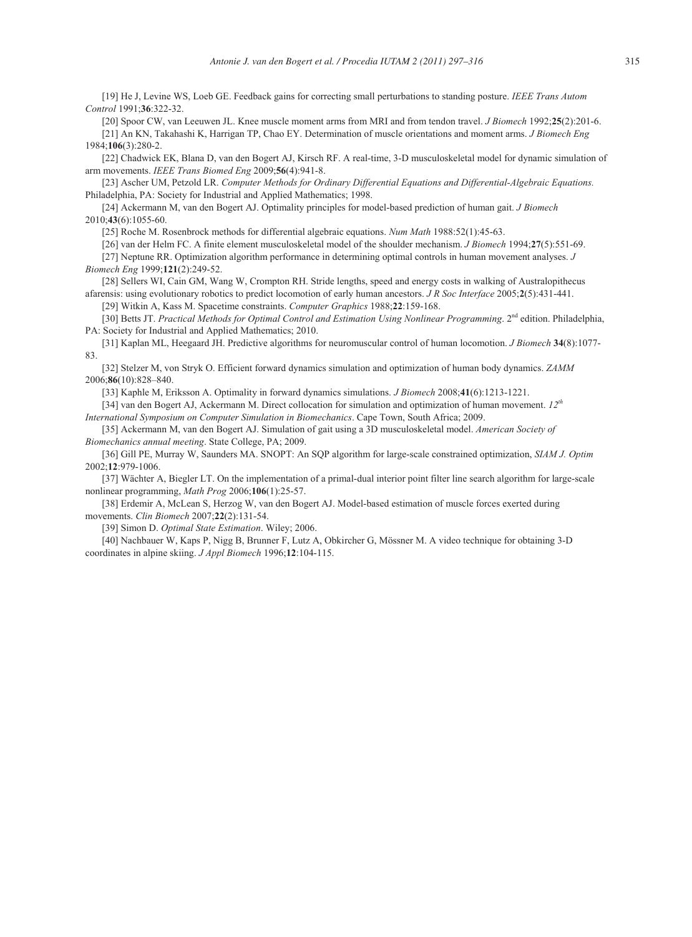[19] He J, Levine WS, Loeb GE. Feedback gains for correcting small perturbations to standing posture. *IEEE Trans Autom Control* 1991;**36**:322-32.

[20] Spoor CW, van Leeuwen JL. Knee muscle moment arms from MRI and from tendon travel. *J Biomech* 1992;**25**(2):201-6. [21] An KN, Takahashi K, Harrigan TP, Chao EY. Determination of muscle orientations and moment arms. *J Biomech Eng* 1984;**106**(3):280-2.

[22] Chadwick EK, Blana D, van den Bogert AJ, Kirsch RF. A real-time, 3-D musculoskeletal model for dynamic simulation of arm movements. *IEEE Trans Biomed Eng* 2009;**56**(4):941-8.

[23] Ascher UM, Petzold LR. *Computer Methods for Ordinary Differential Equations and Differential-Algebraic Equations.*  Philadelphia, PA: Society for Industrial and Applied Mathematics; 1998.

[24] Ackermann M, van den Bogert AJ. Optimality principles for model-based prediction of human gait. *J Biomech* 2010;**43**(6):1055-60.

[25] Roche M. Rosenbrock methods for differential algebraic equations. *Num Math* 1988:52(1):45-63.

[26] van der Helm FC. A finite element musculoskeletal model of the shoulder mechanism. *J Biomech* 1994;**27**(5):551-69.

[27] Neptune RR. Optimization algorithm performance in determining optimal controls in human movement analyses. *J Biomech Eng* 1999;**121**(2):249-52.

[28] Sellers WI, Cain GM, Wang W, Crompton RH. Stride lengths, speed and energy costs in walking of Australopithecus afarensis: using evolutionary robotics to predict locomotion of early human ancestors. *J R Soc Interface* 2005;**2**(5):431-441. [29] Witkin A, Kass M. Spacetime constraints. *Computer Graphics* 1988;**22**:159-168.

[30] Betts JT. *Practical Methods for Optimal Control and Estimation Using Nonlinear Programming*. 2<sup>nd</sup> edition. Philadelphia, PA: Society for Industrial and Applied Mathematics; 2010.

[31] Kaplan ML, Heegaard JH. Predictive algorithms for neuromuscular control of human locomotion. *J Biomech* **34**(8):1077- 83.

[32] Stelzer M, von Stryk O. Efficient forward dynamics simulation and optimization of human body dynamics. *ZAMM* 2006;**86**(10):828–840.

[33] Kaphle M, Eriksson A. Optimality in forward dynamics simulations. *J Biomech* 2008;**41**(6):1213-1221.

[34] van den Bogert AJ, Ackermann M. Direct collocation for simulation and optimization of human movement. *12th International Symposium on Computer Simulation in Biomechanics*. Cape Town, South Africa; 2009.

[35] Ackermann M, van den Bogert AJ. Simulation of gait using a 3D musculoskeletal model. *American Society of Biomechanics annual meeting*. State College, PA; 2009.

[36] Gill PE, Murray W, Saunders MA. SNOPT: An SQP algorithm for large-scale constrained optimization, *SIAM J. Optim* 2002;**12**:979-1006.

[37] Wächter A, Biegler LT. On the implementation of a primal-dual interior point filter line search algorithm for large-scale nonlinear programming, *Math Prog* 2006;**106**(1):25-57.

[38] Erdemir A, McLean S, Herzog W, van den Bogert AJ. Model-based estimation of muscle forces exerted during movements. *Clin Biomech* 2007;**22**(2):131-54.

[39] Simon D. *Optimal State Estimation*. Wiley; 2006.

[40] Nachbauer W, Kaps P, Nigg B, Brunner F, Lutz A, Obkircher G, Mössner M. A video technique for obtaining 3-D coordinates in alpine skiing. *J Appl Biomech* 1996;**12**:104-115.